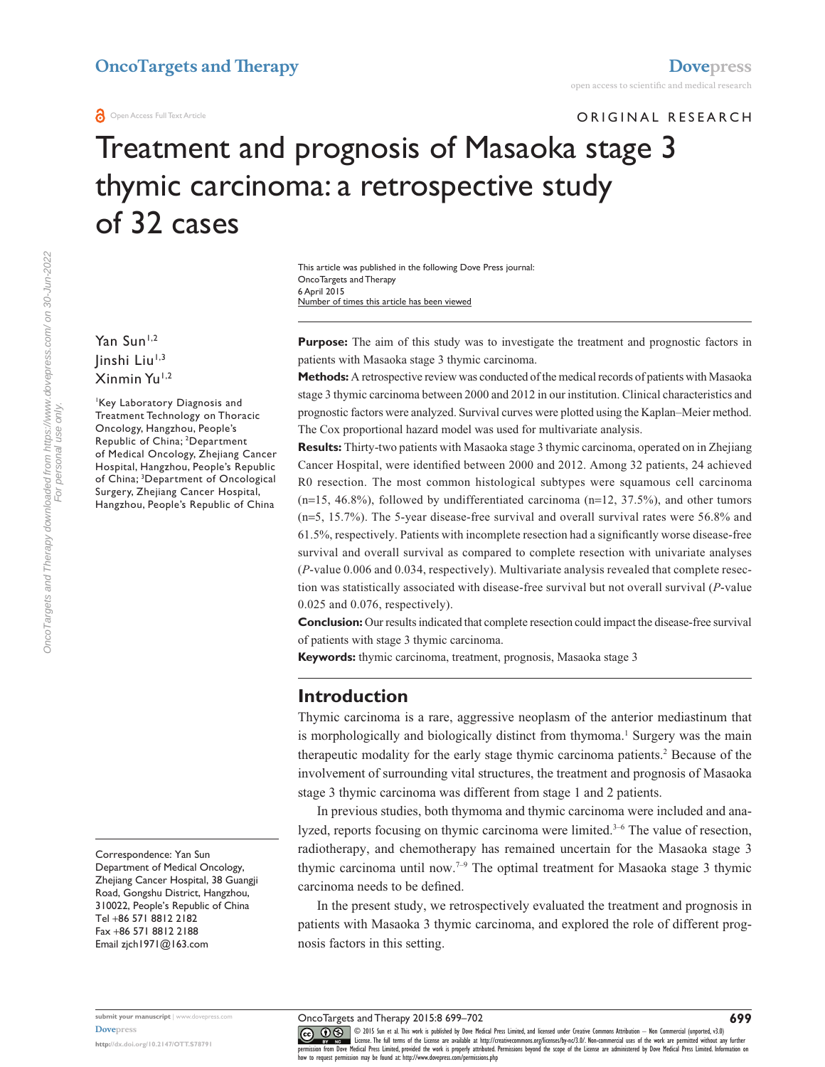ORIGINAL RESEARCH

# Treatment and prognosis of Masaoka stage 3 thymic carcinoma: a retrospective study of 32 cases

This article was published in the following Dove Press journal: OncoTargets and Therapy 6 April 2015 Number of times this article has been viewed

Yan Sun<sup>1,2</sup> linshi Liu<sup>1,3</sup> Xinmin Yu<sup>1,2</sup>

1 Key Laboratory Diagnosis and Treatment Technology on Thoracic Oncology, Hangzhou, People's Republic of China; 2 Department of Medical Oncology, Zhejiang Cancer Hospital, Hangzhou, People's Republic of China; <sup>3</sup>Department of Oncological Surgery, Zhejiang Cancer Hospital, Hangzhou, People's Republic of China

Correspondence: Yan Sun Department of Medical Oncology, Zhejiang Cancer Hospital, 38 Guangji Road, Gongshu District, Hangzhou, 310022, People's Republic of China Tel +86 571 8812 2182 Fax +86 571 8812 2188 Email [zjch1971@163.com](mailto:zjch1971@163.com)

**Purpose:** The aim of this study was to investigate the treatment and prognostic factors in patients with Masaoka stage 3 thymic carcinoma.

**Methods:** A retrospective review was conducted of the medical records of patients with Masaoka stage 3 thymic carcinoma between 2000 and 2012 in our institution. Clinical characteristics and prognostic factors were analyzed. Survival curves were plotted using the Kaplan–Meier method. The Cox proportional hazard model was used for multivariate analysis.

**Results:** Thirty-two patients with Masaoka stage 3 thymic carcinoma, operated on in Zhejiang Cancer Hospital, were identified between 2000 and 2012. Among 32 patients, 24 achieved R0 resection. The most common histological subtypes were squamous cell carcinoma  $(n=15, 46.8\%)$ , followed by undifferentiated carcinoma  $(n=12, 37.5\%)$ , and other tumors (n=5, 15.7%). The 5-year disease-free survival and overall survival rates were 56.8% and 61.5%, respectively. Patients with incomplete resection had a significantly worse disease-free survival and overall survival as compared to complete resection with univariate analyses (*P*-value 0.006 and 0.034, respectively). Multivariate analysis revealed that complete resection was statistically associated with disease-free survival but not overall survival (*P*-value 0.025 and 0.076, respectively).

**Conclusion:** Our results indicated that complete resection could impact the disease-free survival of patients with stage 3 thymic carcinoma.

**Keywords:** thymic carcinoma, treatment, prognosis, Masaoka stage 3

### **Introduction**

Thymic carcinoma is a rare, aggressive neoplasm of the anterior mediastinum that is morphologically and biologically distinct from thymoma.<sup>1</sup> Surgery was the main therapeutic modality for the early stage thymic carcinoma patients.<sup>2</sup> Because of the involvement of surrounding vital structures, the treatment and prognosis of Masaoka stage 3 thymic carcinoma was different from stage 1 and 2 patients.

In previous studies, both thymoma and thymic carcinoma were included and analyzed, reports focusing on thymic carcinoma were limited.<sup>3-6</sup> The value of resection, radiotherapy, and chemotherapy has remained uncertain for the Masaoka stage 3 thymic carcinoma until now.7–9 The optimal treatment for Masaoka stage 3 thymic carcinoma needs to be defined.

In the present study, we retrospectively evaluated the treatment and prognosis in patients with Masaoka 3 thymic carcinoma, and explored the role of different prognosis factors in this setting.

**submit your manuscript** | <www.dovepress.com> **[Dovepress](www.dovepress.com)**

**<http://dx.doi.org/10.2147/OTT.S78791>**

OncoTargets and Therapy 2015:8 699–702

CO ODIS Sun et al. This work is published by Dove Medical Press Limited, and licensed under Creative Commons Attribution - Non Commercial (unported, v3.0)<br> [permission from Dove M](http://www.dovepress.com/permissions.php)edical Press Limited, provided the work is p how to request permission may be found at:<http://www.dovepress.com/permissions.php>

**699**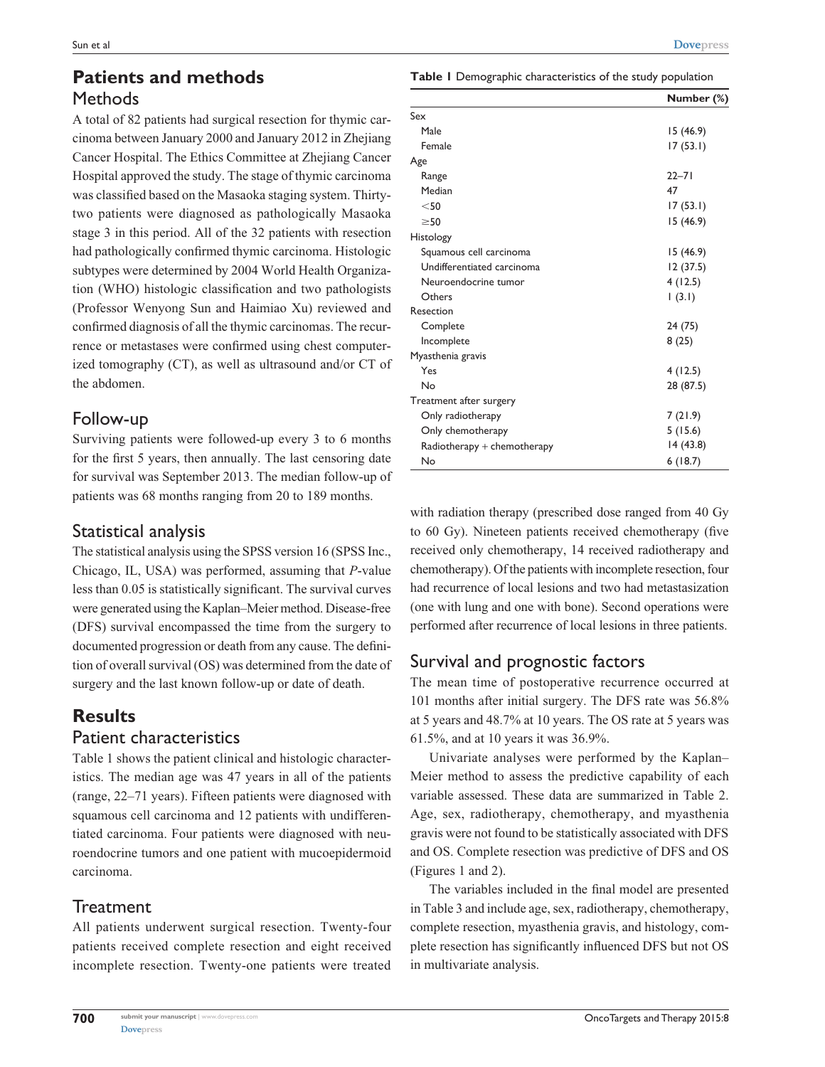### **Patients and methods Methods**

A total of 82 patients had surgical resection for thymic carcinoma between January 2000 and January 2012 in Zhejiang Cancer Hospital. The Ethics Committee at Zhejiang Cancer Hospital approved the study. The stage of thymic carcinoma was classified based on the Masaoka staging system. Thirtytwo patients were diagnosed as pathologically Masaoka stage 3 in this period. All of the 32 patients with resection had pathologically confirmed thymic carcinoma. Histologic subtypes were determined by 2004 World Health Organization (WHO) histologic classification and two pathologists (Professor Wenyong Sun and Haimiao Xu) reviewed and confirmed diagnosis of all the thymic carcinomas. The recurrence or metastases were confirmed using chest computerized tomography (CT), as well as ultrasound and/or CT of the abdomen.

### Follow-up

Surviving patients were followed-up every 3 to 6 months for the first 5 years, then annually. The last censoring date for survival was September 2013. The median follow-up of patients was 68 months ranging from 20 to 189 months.

### Statistical analysis

The statistical analysis using the SPSS version 16 (SPSS Inc., Chicago, IL, USA) was performed, assuming that *P*-value less than 0.05 is statistically significant. The survival curves were generated using the Kaplan–Meier method. Disease-free (DFS) survival encompassed the time from the surgery to documented progression or death from any cause. The definition of overall survival (OS) was determined from the date of surgery and the last known follow-up or date of death.

# **Results**

### Patient characteristics

Table 1 shows the patient clinical and histologic characteristics. The median age was 47 years in all of the patients (range, 22–71 years). Fifteen patients were diagnosed with squamous cell carcinoma and 12 patients with undifferentiated carcinoma. Four patients were diagnosed with neuroendocrine tumors and one patient with mucoepidermoid carcinoma.

# **Treatment**

All patients underwent surgical resection. Twenty-four patients received complete resection and eight received incomplete resection. Twenty-one patients were treated

**Table 1** Demographic characteristics of the study population

|                             | Number (%) |
|-----------------------------|------------|
| Sex                         |            |
| Male                        | 15 (46.9)  |
| Female                      | 17(53.1)   |
| Age                         |            |
| Range                       | $22 - 71$  |
| Median                      | 47         |
| $<$ 50                      | 17(53.1)   |
| $\geq 50$                   | 15 (46.9)  |
| <b>Histology</b>            |            |
| Squamous cell carcinoma     | 15 (46.9)  |
| Undifferentiated carcinoma  | 12 (37.5)  |
| Neuroendocrine tumor        | 4(12.5)    |
| Others                      | (3.1)      |
| Resection                   |            |
| Complete                    | 24 (75)    |
| Incomplete                  | 8(25)      |
| Myasthenia gravis           |            |
| Yes                         | 4(12.5)    |
| No                          | 28 (87.5)  |
| Treatment after surgery     |            |
| Only radiotherapy           | 7(21.9)    |
| Only chemotherapy           | 5(15.6)    |
| Radiotherapy + chemotherapy | 14 (43.8)  |
| No                          | 6(18.7)    |

with radiation therapy (prescribed dose ranged from 40 Gy to 60 Gy). Nineteen patients received chemotherapy (five received only chemotherapy, 14 received radiotherapy and chemotherapy). Of the patients with incomplete resection, four had recurrence of local lesions and two had metastasization (one with lung and one with bone). Second operations were performed after recurrence of local lesions in three patients.

# Survival and prognostic factors

The mean time of postoperative recurrence occurred at 101 months after initial surgery. The DFS rate was 56.8% at 5 years and 48.7% at 10 years. The OS rate at 5 years was 61.5%, and at 10 years it was 36.9%.

Univariate analyses were performed by the Kaplan– Meier method to assess the predictive capability of each variable assessed. These data are summarized in Table 2. Age, sex, radiotherapy, chemotherapy, and myasthenia gravis were not found to be statistically associated with DFS and OS. Complete resection was predictive of DFS and OS (Figures 1 and 2).

The variables included in the final model are presented in Table 3 and include age, sex, radiotherapy, chemotherapy, complete resection, myasthenia gravis, and histology, complete resection has significantly influenced DFS but not OS in multivariate analysis.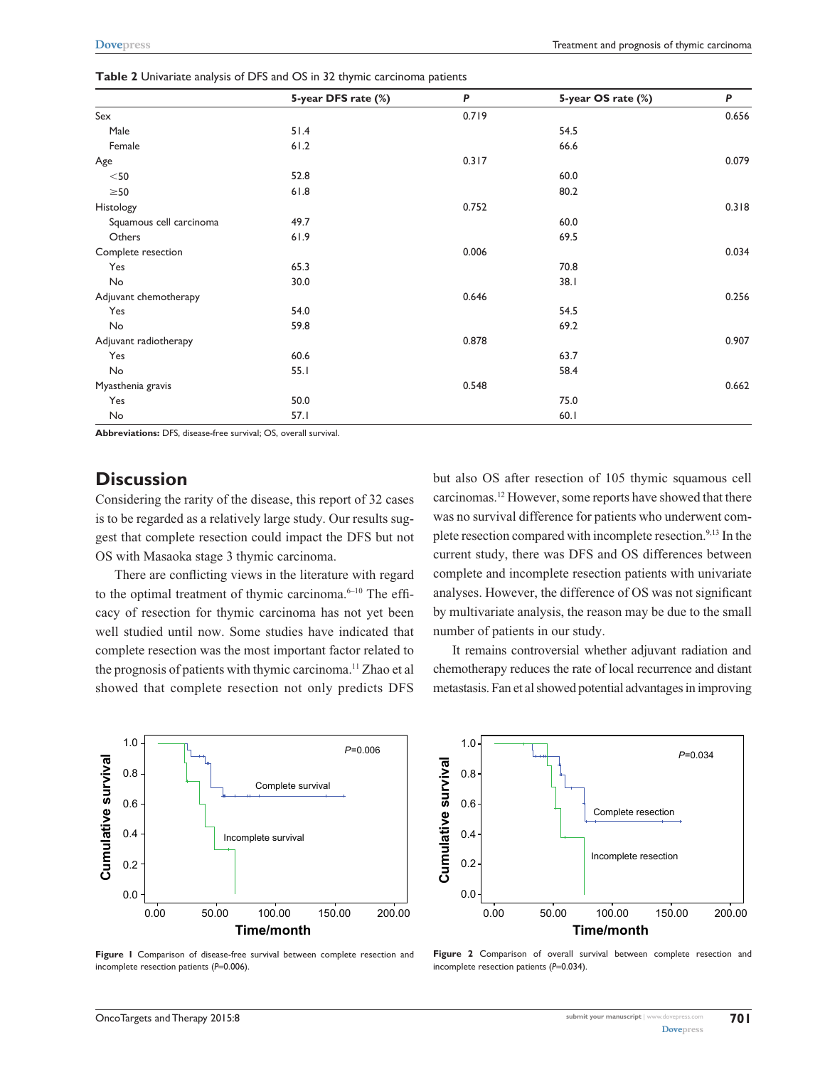|                         | 5-year DFS rate (%) | P     | 5-year OS rate (%) | P     |  |
|-------------------------|---------------------|-------|--------------------|-------|--|
| Sex                     |                     | 0.719 |                    | 0.656 |  |
| Male                    | 51.4                |       | 54.5               |       |  |
| Female                  | 61.2                |       | 66.6               |       |  |
| Age                     |                     | 0.317 |                    | 0.079 |  |
| $<$ 50                  | 52.8                |       | 60.0               |       |  |
| $\geq$ 50               | 61.8                |       | 80.2               |       |  |
| Histology               |                     | 0.752 |                    | 0.318 |  |
| Squamous cell carcinoma | 49.7                |       | 60.0               |       |  |
| Others                  | 61.9                |       | 69.5               |       |  |
| Complete resection      |                     | 0.006 |                    | 0.034 |  |
| Yes                     | 65.3                |       | 70.8               |       |  |
| No                      | 30.0                |       | 38.1               |       |  |
| Adjuvant chemotherapy   |                     | 0.646 |                    | 0.256 |  |
| Yes                     | 54.0                |       | 54.5               |       |  |
| No                      | 59.8                |       | 69.2               |       |  |
| Adjuvant radiotherapy   |                     | 0.878 |                    | 0.907 |  |
| Yes                     | 60.6                |       | 63.7               |       |  |
| No                      | 55.1                |       | 58.4               |       |  |
| Myasthenia gravis       |                     | 0.548 |                    | 0.662 |  |
| Yes                     | 50.0                |       | 75.0               |       |  |
| No                      | 57.1                |       | 60.1               |       |  |

**Table 2** Univariate analysis of DFS and OS in 32 thymic carcinoma patients

**Abbreviations:** DFS, disease-free survival; OS, overall survival.

### **Discussion**

Considering the rarity of the disease, this report of 32 cases is to be regarded as a relatively large study. Our results suggest that complete resection could impact the DFS but not OS with Masaoka stage 3 thymic carcinoma.

There are conflicting views in the literature with regard to the optimal treatment of thymic carcinoma.<sup>6-10</sup> The efficacy of resection for thymic carcinoma has not yet been well studied until now. Some studies have indicated that complete resection was the most important factor related to the prognosis of patients with thymic carcinoma.<sup>11</sup> Zhao et al showed that complete resection not only predicts DFS but also OS after resection of 105 thymic squamous cell carcinomas.12 However, some reports have showed that there was no survival difference for patients who underwent complete resection compared with incomplete resection.<sup>9,13</sup> In the current study, there was DFS and OS differences between complete and incomplete resection patients with univariate analyses. However, the difference of OS was not significant by multivariate analysis, the reason may be due to the small number of patients in our study.

It remains controversial whether adjuvant radiation and chemotherapy reduces the rate of local recurrence and distant metastasis. Fan et al showed potential advantages in improving



**Figure 1** Comparison of disease-free survival between complete resection and incomplete resection patients (P=0.006).



**Figure 2** Comparison of overall survival between complete resection and incomplete resection patients (*P*=0.034).